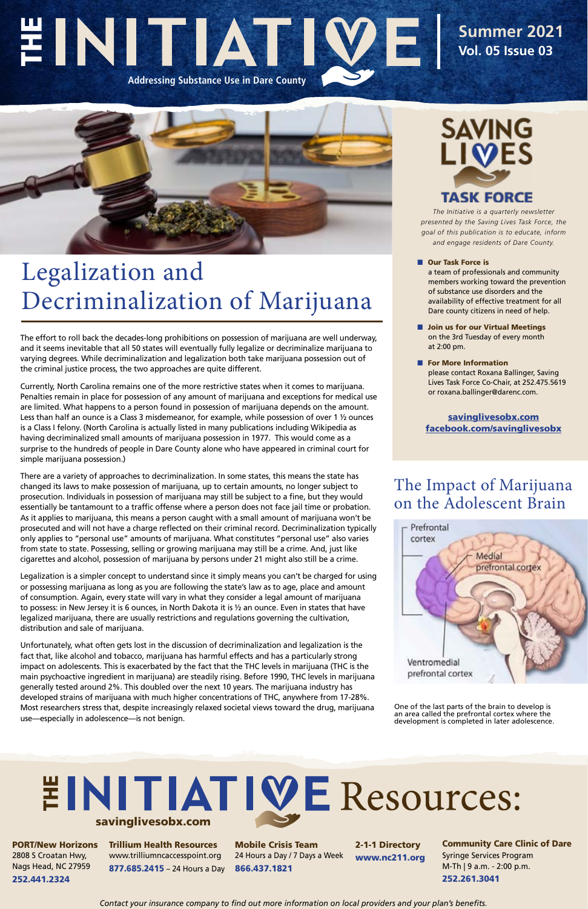*The Initiative is a quarterly newsletter presented by the Saving Lives Task Force, the goal of this publication is to educate, inform and engage residents of Dare County.*

■ Our Task Force is a team of professionals and community members working toward the prevention of substance use disorders and the availability of effective treatment for all Dare county citizens in need of help.

- Join us for our Virtual Meetings on the 3rd Tuesday of every month at 2:00 pm.
- For More Information please contact Roxana Ballinger, Saving Lives Task Force Co-Chair, at 252.475.5619 or roxana.ballinger@darenc.com.

# EINITIATI **Addressing Substance Use in Dare County**

### **Summer 2021 Vol. 05 Issue 03**



[savinglivesobx.com](https://www.darenc.com/departments/health-human-services-/our-services/substance-abuse-services/saving-lives-task-force) [facebook.com/savinglivesobx](https://www.facebook.com/savinglivesobx)

## Legalization and Decriminalization of Marijuana

The effort to roll back the decades-long prohibitions on possession of marijuana are well underway, and it seems inevitable that all 50 states will eventually fully legalize or decriminalize marijuana to varying degrees. While decriminalization and legalization both take marijuana possession out of the criminal justice process, the two approaches are quite different.

Currently, North Carolina remains one of the more restrictive states when it comes to marijuana. Penalties remain in place for possession of any amount of marijuana and exceptions for medical use are limited. What happens to a person found in possession of marijuana depends on the amount. Less than half an ounce is a Class 3 misdemeanor, for example, while possession of over 1 ½ ounces is a Class I felony. (North Carolina is actually listed in many publications including Wikipedia as having decriminalized small amounts of marijuana possession in 1977. This would come as a surprise to the hundreds of people in Dare County alone who have appeared in criminal court for simple marijuana possession.)

## **INITIATIVE Resources:** savinglivesobx.com

There are a variety of approaches to decriminalization. In some states, this means the state has changed its laws to make possession of marijuana, up to certain amounts, no longer subject to prosecution. Individuals in possession of marijuana may still be subject to a fine, but they would essentially be tantamount to a traffic offense where a person does not face jail time or probation. As it applies to marijuana, this means a person caught with a small amount of marijuana won't be prosecuted and will not have a charge reflected on their criminal record. Decriminalization typically only applies to "personal use" amounts of marijuana. What constitutes "personal use" also varies from state to state. Possessing, selling or growing marijuana may still be a crime. And, just like cigarettes and alcohol, possession of marijuana by persons under 21 might also still be a crime.

Legalization is a simpler concept to understand since it simply means you can't be charged for using or possessing marijuana as long as you are following the state's law as to age, place and amount of consumption. Again, every state will vary in what they consider a legal amount of marijuana to possess: in New Jersey it is 6 ounces, in North Dakota it is ½ an ounce. Even in states that have legalized marijuana, there are usually restrictions and regulations governing the cultivation, distribution and sale of marijuana.

Unfortunately, what often gets lost in the discussion of decriminalization and legalization is the fact that, like alcohol and tobacco, marijuana has harmful effects and has a particularly strong impact on adolescents. This is exacerbated by the fact that the THC levels in marijuana (THC is the main psychoactive ingredient in marijuana) are steadily rising. Before 1990, THC levels in marijuana generally tested around 2%. This doubled over the next 10 years. The marijuana industry has developed strains of marijuana with much higher concentrations of THC, anywhere from 17-28%. Most researchers stress that, despite increasingly relaxed societal views toward the drug, marijuana use—especially in adolescence—is not benign.



PORT/New Horizons 2808 S Croatan Hwy, Nags Head, NC 27959 252.441.2324

Trillium Health Resources www.trilliumncaccesspoint.org 877.685.2415 – 24 Hours a Day

Mobile Crisis Team 24 Hours a Day / 7 Days a Week 866.437.1821

2-1-1 Directory www.nc211.org

Community Care Clinic of Dare Syringe Services Program M-Th | 9 a.m. - 2:00 p.m. 252.261.3041

*Contact your insurance company to find out more information on local providers and your plan's benefits.*

One of the last parts of the brain to develop is an area called the prefrontal cortex where the development is completed in later adolescence.

### The Impact of Marijuana on the Adolescent Brain



prefrontal cortex